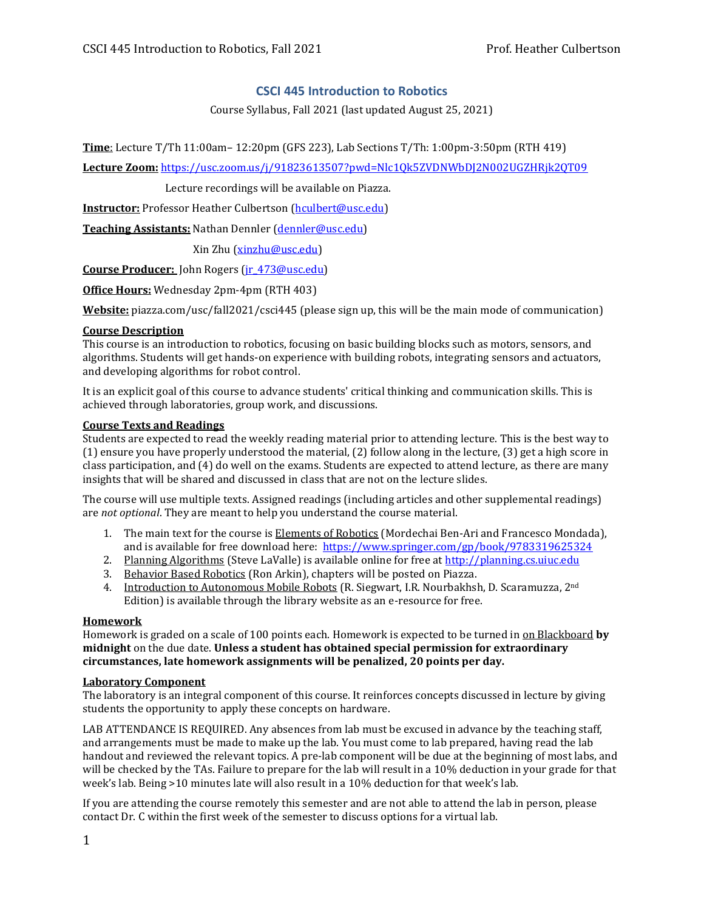## **CSCI 445 Introduction to Robotics**

Course Syllabus, Fall 2021 (last updated August 25, 2021)

**Time**: Lecture T/Th 11:00am– 12:20pm (GFS 223), Lab Sections T/Th: 1:00pm-3:50pm (RTH 419)

**Lecture Zoom:** <https://usc.zoom.us/j/91823613507?pwd=Nlc1Qk5ZVDNWbDJ2N002UGZHRjk2QT09>

Lecture recordings will be available on Piazza.

**Instructor:** Professor Heather Culbertson [\(hculbert@usc.edu\)](mailto:hculbert@usc.edu)

**Teaching Assistants: Nathan Dennler [\(dennler@usc.edu\)](mailto:dennler@usc.edu)** 

Xin Zhu [\(xinzhu@usc.edu\)](mailto:xinzhu@usc.edu)

**Course Producer:** John Rogers [\(jr\\_473@usc.edu\)](mailto:jr_473@usc.edu)

**Office Hours:** Wednesday 2pm-4pm (RTH 403)

**Website:** piazza.com/usc/fall2021/csci445 (please sign up, this will be the main mode of communication)

#### **Course Description**

This course is an introduction to robotics, focusing on basic building blocks such as motors, sensors, and algorithms. Students will get hands-on experience with building robots, integrating sensors and actuators, and developing algorithms for robot control.

It is an explicit goal of this course to advance students' critical thinking and communication skills. This is achieved through laboratories, group work, and discussions.

#### **Course Texts and Readings**

Students are expected to read the weekly reading material prior to attending lecture. This is the best way to (1) ensure you have properly understood the material, (2) follow along in the lecture, (3) get a high score in class participation, and (4) do well on the exams. Students are expected to attend lecture, as there are many insights that will be shared and discussed in class that are not on the lecture slides.

The course will use multiple texts. Assigned readings (including articles and other supplemental readings) are *not optional*. They are meant to help you understand the course material.

- 1. The main text for the course is Elements of Robotics (Mordechai Ben-Ari and Francesco Mondada), and is available for free download here: <https://www.springer.com/gp/book/9783319625324>
- 2. Planning Algorithms (Steve LaValle) is available online for free a[t http://planning.cs.uiuc.edu](http://planning.cs.uiuc.edu/)
- 3. Behavior Based Robotics (Ron Arkin), chapters will be posted on Piazza.
- 4. Introduction to Autonomous Mobile Robots (R. Siegwart, I.R. Nourbakhsh, D. Scaramuzza, 2<sup>nd</sup> Edition) is available through the library website as an e-resource for free.

## **Homework**

Homework is graded on a scale of 100 points each. Homework is expected to be turned in on Blackboard **by midnight** on the due date. **Unless a student has obtained special permission for extraordinary circumstances, late homework assignments will be penalized, 20 points per day.**

## **Laboratory Component**

The laboratory is an integral component of this course. It reinforces concepts discussed in lecture by giving students the opportunity to apply these concepts on hardware.

LAB ATTENDANCE IS REQUIRED. Any absences from lab must be excused in advance by the teaching staff, and arrangements must be made to make up the lab. You must come to lab prepared, having read the lab handout and reviewed the relevant topics. A pre-lab component will be due at the beginning of most labs, and will be checked by the TAs. Failure to prepare for the lab will result in a 10% deduction in your grade for that week's lab. Being >10 minutes late will also result in a 10% deduction for that week's lab.

If you are attending the course remotely this semester and are not able to attend the lab in person, please contact Dr. C within the first week of the semester to discuss options for a virtual lab.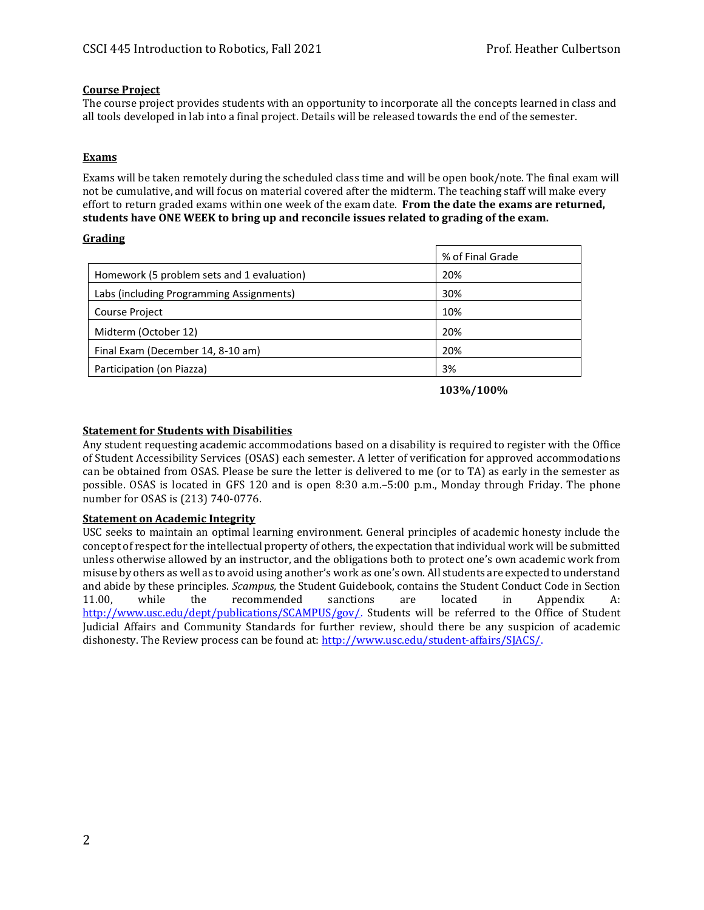## **Course Project**

The course project provides students with an opportunity to incorporate all the concepts learned in class and all tools developed in lab into a final project. Details will be released towards the end of the semester.

## **Exams**

Exams will be taken remotely during the scheduled class time and will be open book/note. The final exam will not be cumulative, and will focus on material covered after the midterm. The teaching staff will make every effort to return graded exams within one week of the exam date. **From the date the exams are returned, students have ONE WEEK to bring up and reconcile issues related to grading of the exam.**

## **Grading**

|                                            | % of Final Grade |
|--------------------------------------------|------------------|
| Homework (5 problem sets and 1 evaluation) | 20%              |
| Labs (including Programming Assignments)   | 30%              |
| <b>Course Project</b>                      | 10%              |
| Midterm (October 12)                       | 20%              |
| Final Exam (December 14, 8-10 am)          | 20%              |
| Participation (on Piazza)                  | 3%               |

 **103%/100%**

## **Statement for Students with Disabilities**

Any student requesting academic accommodations based on a disability is required to register with the Office of Student Accessibility Services (OSAS) each semester. A letter of verification for approved accommodations can be obtained from OSAS. Please be sure the letter is delivered to me (or to TA) as early in the semester as possible. OSAS is located in GFS 120 and is open 8:30 a.m.–5:00 p.m., Monday through Friday. The phone number for OSAS is (213) 740-0776.

## **Statement on Academic Integrity**

USC seeks to maintain an optimal learning environment. General principles of academic honesty include the concept of respect for the intellectual property of others, the expectation that individual work will be submitted unless otherwise allowed by an instructor, and the obligations both to protect one's own academic work from misuse by others as well as to avoid using another's work as one's own. All students are expected to understand and abide by these principles. *Scampus,* the Student Guidebook, contains the Student Conduct Code in Section 11.00, while the recommended sanctions are located in Appendix A: [http://www.usc.edu/dept/publications/SCAMPUS/gov/.](http://www.usc.edu/dept/publications/SCAMPUS/gov/) Students will be referred to the Office of Student Judicial Affairs and Community Standards for further review, should there be any suspicion of academic dishonesty. The Review process can be found at: [http://www.usc.edu/student-affairs/SJACS/.](http://www.usc.edu/student-affairs/SJACS/)